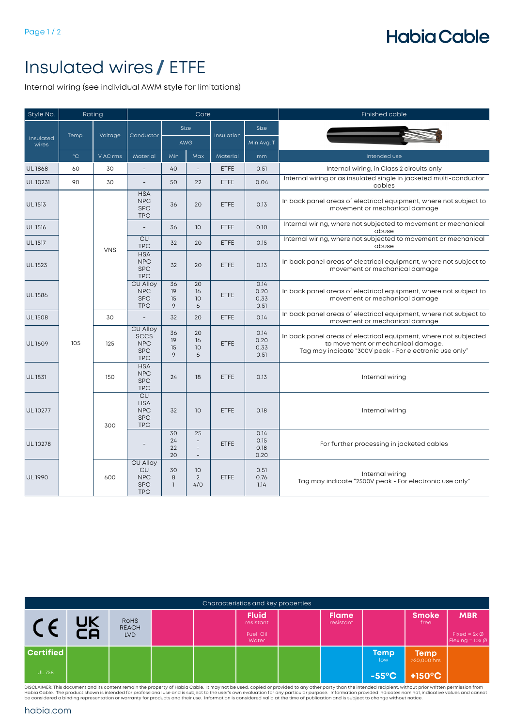## **Habia Cable**

## Insulated wires **/** ETFE

Internal wiring (see individual AWM style for limitations)

| Style No.          | Rating            |                                                                   |                                                                   |                         | Core                                  |             |                                                      | Finished cable                                                                                                                                                  |    |             |      |
|--------------------|-------------------|-------------------------------------------------------------------|-------------------------------------------------------------------|-------------------------|---------------------------------------|-------------|------------------------------------------------------|-----------------------------------------------------------------------------------------------------------------------------------------------------------------|----|-------------|------|
| Insulated<br>wires |                   |                                                                   |                                                                   | Size                    |                                       |             | <b>Size</b>                                          |                                                                                                                                                                 |    |             |      |
|                    | Temp.             | Voltage                                                           | Conductor                                                         | AWG                     |                                       | Insulation  | Min Avg. T                                           |                                                                                                                                                                 |    |             |      |
|                    | $^{\circ}{\rm C}$ | V AC rms                                                          | Material                                                          | Min                     | Max                                   | Material    | mm                                                   | Intended use                                                                                                                                                    |    |             |      |
| <b>UL1868</b>      | 60                | 30                                                                | $\overline{a}$                                                    | 40                      |                                       | <b>ETFE</b> | 0.51                                                 | Internal wiring, in Class 2 circuits only                                                                                                                       |    |             |      |
| UL 10231           | 90                | 30                                                                | $\overline{\phantom{a}}$                                          | 50                      | 22                                    | <b>ETFE</b> | 0.04                                                 | Internal wiring or as insulated single in jacketed multi-conductor<br>cables                                                                                    |    |             |      |
| <b>UL 1513</b>     |                   |                                                                   | <b>HSA</b><br><b>NPC</b><br><b>SPC</b><br><b>TPC</b>              | 36                      | 20                                    | <b>ETFE</b> | 0.13                                                 | In back panel areas of electrical equipment, where not subject to<br>movement or mechanical damage                                                              |    |             |      |
| <b>UL1516</b>      |                   |                                                                   | $\overline{a}$                                                    | 36                      | 10                                    | <b>ETFE</b> | 0.10                                                 | Internal wiring, where not subjected to movement or mechanical<br>abuse                                                                                         |    |             |      |
| <b>UL1517</b>      |                   | <b>VNS</b>                                                        | CU<br><b>TPC</b>                                                  | 32                      | 20                                    | ETFE        | 0.15                                                 | Internal wiring, where not subjected to movement or mechanical<br>abuse                                                                                         |    |             |      |
| <b>UL1523</b>      |                   |                                                                   |                                                                   |                         |                                       |             | <b>HSA</b><br><b>NPC</b><br><b>SPC</b><br><b>TPC</b> | 32                                                                                                                                                              | 20 | <b>ETFE</b> | 0.13 |
| <b>UL1586</b>      |                   |                                                                   | <b>CU Alloy</b><br><b>NPC</b><br><b>SPC</b><br><b>TPC</b>         | 36<br>19<br>15<br>9     | 20<br>16<br>10<br>6                   | <b>ETFE</b> | 0.14<br>0.20<br>0.33<br>0.51                         | In back panel areas of electrical equipment, where not subject to<br>movement or mechanical damage                                                              |    |             |      |
| <b>UL1508</b>      |                   | 30                                                                | $\overline{\phantom{a}}$                                          | 32                      | 20                                    | <b>ETFE</b> | 0.14                                                 | In back panel areas of electrical equipment, where not subject to<br>movement or mechanical damage                                                              |    |             |      |
| <b>UL1609</b>      | 105               | 125                                                               | CU Alloy<br><b>SCCS</b><br><b>NPC</b><br><b>SPC</b><br><b>TPC</b> | 36<br>19<br>15<br>9     | 20<br>16<br>10<br>6                   | <b>ETFE</b> | 0.14<br>0.20<br>0.33<br>0.51                         | In back panel areas of electrical equipment, where not subjected<br>to movement or mechanical damage.<br>Tag may indicate "300V peak - For electronic use only" |    |             |      |
| <b>UL1831</b>      |                   | 150                                                               | <b>HSA</b><br><b>NPC</b><br><b>SPC</b><br><b>TPC</b>              | 24                      | 18                                    | <b>ETFE</b> | 0.13                                                 | Internal wiring                                                                                                                                                 |    |             |      |
| UL 10277           |                   | CU<br><b>HSA</b><br><b>NPC</b><br><b>SPC</b><br><b>TPC</b><br>300 |                                                                   | 32                      | 10                                    | <b>ETFE</b> | 0.18                                                 | Internal wiring                                                                                                                                                 |    |             |      |
| <b>UL10278</b>     |                   |                                                                   |                                                                   | 30<br>24<br>22<br>20    | 25<br>$\overline{a}$<br>$\frac{1}{2}$ | <b>ETFE</b> | 0.14<br>0.15<br>0.18<br>0.20                         | For further processing in jacketed cables                                                                                                                       |    |             |      |
| <b>UL1990</b>      |                   | 600                                                               | CU Alloy<br>CU<br><b>NPC</b><br><b>SPC</b><br><b>TPC</b>          | 30<br>8<br>$\mathbf{1}$ | 10<br>$\overline{2}$<br>4/0           | <b>ETFE</b> | 0.51<br>0.76<br>1.14                                 | Internal wiring<br>Tag may indicate "2500V peak - For electronic use only"                                                                                      |    |             |      |

| Characteristics and key properties |          |                                           |  |  |                                                |  |                           |                    |                            |                                                                   |  |  |
|------------------------------------|----------|-------------------------------------------|--|--|------------------------------------------------|--|---------------------------|--------------------|----------------------------|-------------------------------------------------------------------|--|--|
|                                    | UK<br>CA | <b>ROHS</b><br><b>REACH</b><br><b>LVD</b> |  |  | <b>Fluid</b><br>resistant<br>Fuel Oil<br>Water |  | <b>Flame</b><br>resistant |                    | <b>Smoke</b><br>free       | <b>MBR</b><br>Fixed = $5x \emptyset$<br>Flexing = $10x \emptyset$ |  |  |
| <b>Certified</b>                   |          |                                           |  |  |                                                |  |                           | <b>Temp</b><br>low | <b>Temp</b><br>>20,000 hrs |                                                                   |  |  |
| <b>UL 758</b>                      |          |                                           |  |  |                                                |  |                           | $-55^{\circ}$ C    | $+150^{\circ}$ C           |                                                                   |  |  |

DISCLAIMER: This document and its content remain the property of Habia Cable. It may not be used, copied or provided to any other party than the intended recipient, without prior written permission from<br>Habia Cable. The pr